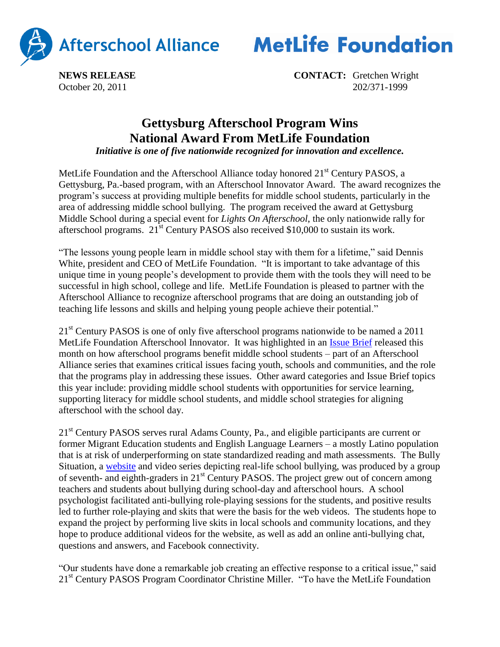



**NEWS RELEASE CONTACT:** Gretchen Wright October 20, 2011 202/371-1999

## **Gettysburg Afterschool Program Wins National Award From MetLife Foundation**

*Initiative is one of five nationwide recognized for innovation and excellence.*

MetLife Foundation and the Afterschool Alliance today honored 21<sup>st</sup> Century PASOS, a Gettysburg, Pa.-based program, with an Afterschool Innovator Award. The award recognizes the program's success at providing multiple benefits for middle school students, particularly in the area of addressing middle school bullying. The program received the award at Gettysburg Middle School during a special event for *Lights On Afterschool*, the only nationwide rally for afterschool programs.  $21<sup>st</sup>$  Century PASOS also received \$10,000 to sustain its work.

"The lessons young people learn in middle school stay with them for a lifetime," said Dennis White, president and CEO of MetLife Foundation. "It is important to take advantage of this unique time in young people's development to provide them with the tools they will need to be successful in high school, college and life. MetLife Foundation is pleased to partner with the Afterschool Alliance to recognize afterschool programs that are doing an outstanding job of teaching life lessons and skills and helping young people achieve their potential."

21<sup>st</sup> Century PASOS is one of only five afterschool programs nationwide to be named a 2011 MetLife Foundation Afterschool Innovator. It was highlighted in an [Issue Brief](http://www.afterschoolalliance.org/issue_51_bullying.cfm) released this month on how afterschool programs benefit middle school students – part of an Afterschool Alliance series that examines critical issues facing youth, schools and communities, and the role that the programs play in addressing these issues. Other award categories and Issue Brief topics this year include: providing middle school students with opportunities for service learning, supporting literacy for middle school students, and middle school strategies for aligning afterschool with the school day.

21<sup>st</sup> Century PASOS serves rural Adams County, Pa., and eligible participants are current or former Migrant Education students and English Language Learners – a mostly Latino population that is at risk of underperforming on state standardized reading and math assessments. The Bully Situation, a [website](http://www.thebullysituation.webs.com/) and video series depicting real-life school bullying, was produced by a group of seventh- and eighth-graders in  $21<sup>st</sup>$  Century PASOS. The project grew out of concern among teachers and students about bullying during school-day and afterschool hours. A school psychologist facilitated anti-bullying role-playing sessions for the students, and positive results led to further role-playing and skits that were the basis for the web videos. The students hope to expand the project by performing live skits in local schools and community locations, and they hope to produce additional videos for the website, as well as add an online anti-bullying chat, questions and answers, and Facebook connectivity.

"Our students have done a remarkable job creating an effective response to a critical issue," said 21<sup>st</sup> Century PASOS Program Coordinator Christine Miller. "To have the MetLife Foundation